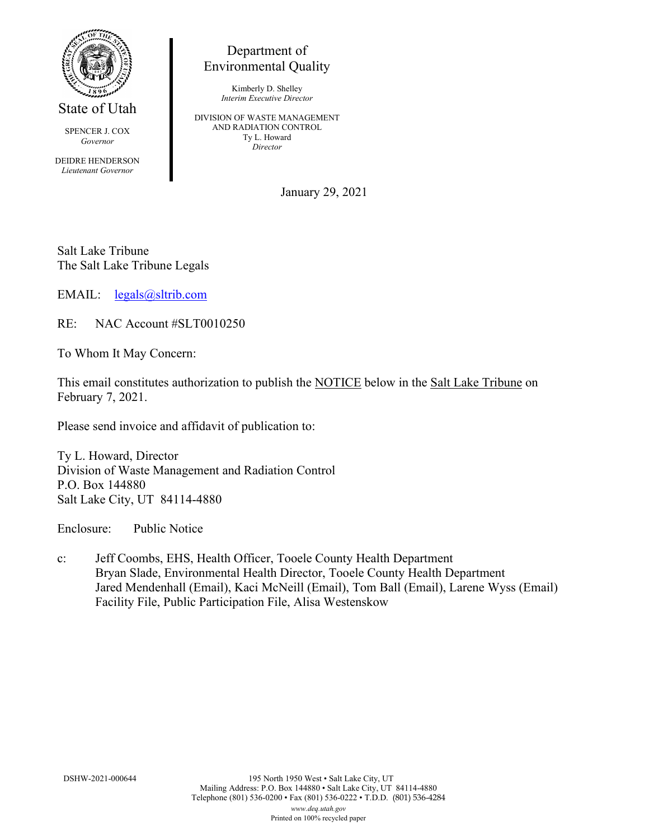

State of Utah

SPENCER J. COX *Governor*

DEIDRE HENDERSON *Lieutenant Governor*

## Department of Environmental Quality

Kimberly D. Shelley *Interim Executive Director*

DIVISION OF WASTE MANAGEMENT AND RADIATION CONTROL Ty L. Howard *Director*

January 29, 2021

Salt Lake Tribune The Salt Lake Tribune Legals

EMAIL: [legals@sltrib.com](mailto:legals@sltrib.com)

RE: NAC Account #SLT0010250

To Whom It May Concern:

This email constitutes authorization to publish the NOTICE below in the Salt Lake Tribune on February 7, 2021.

Please send invoice and affidavit of publication to:

Ty L. Howard, Director Division of Waste Management and Radiation Control P.O. Box 144880 Salt Lake City, UT 84114-4880

Enclosure: Public Notice

c: Jeff Coombs, EHS, Health Officer, Tooele County Health Department Bryan Slade, Environmental Health Director, Tooele County Health Department Jared Mendenhall (Email), Kaci McNeill (Email), Tom Ball (Email), Larene Wyss (Email) Facility File, Public Participation File, Alisa Westenskow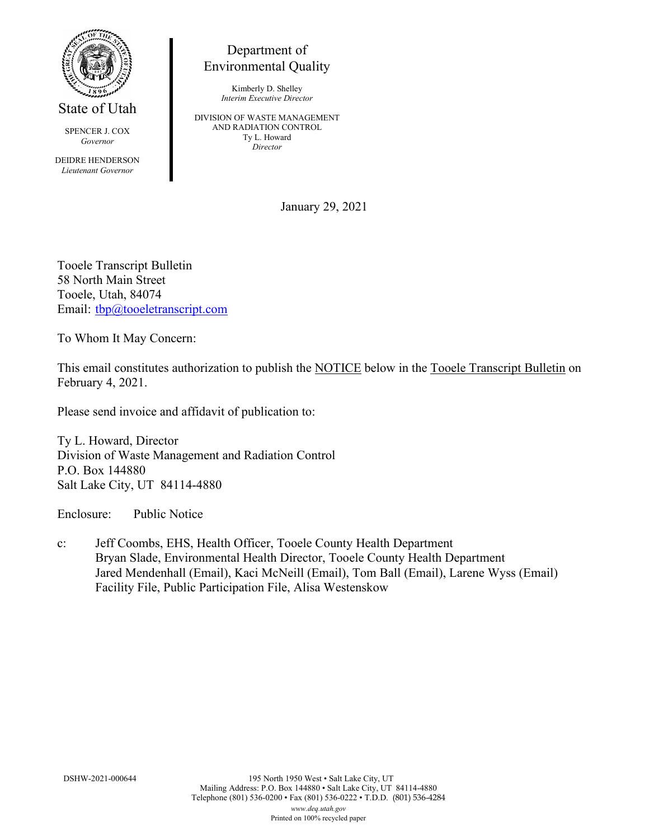

State of Utah

SPENCER J. COX *Governor*

DEIDRE HENDERSON *Lieutenant Governor*

## Department of Environmental Quality

Kimberly D. Shelley *Interim Executive Director*

DIVISION OF WASTE MANAGEMENT AND RADIATION CONTROL Ty L. Howard *Director*

January 29, 2021

Tooele Transcript Bulletin 58 North Main Street Tooele, Utah, 84074 Email: [tbp@tooeletranscript.com](mailto:tbp@tooeletranscript.com)

To Whom It May Concern:

This email constitutes authorization to publish the NOTICE below in the Tooele Transcript Bulletin on February 4, 2021.

Please send invoice and affidavit of publication to:

Ty L. Howard, Director Division of Waste Management and Radiation Control P.O. Box 144880 Salt Lake City, UT 84114-4880

Enclosure: Public Notice

c: Jeff Coombs, EHS, Health Officer, Tooele County Health Department Bryan Slade, Environmental Health Director, Tooele County Health Department Jared Mendenhall (Email), Kaci McNeill (Email), Tom Ball (Email), Larene Wyss (Email) Facility File, Public Participation File, Alisa Westenskow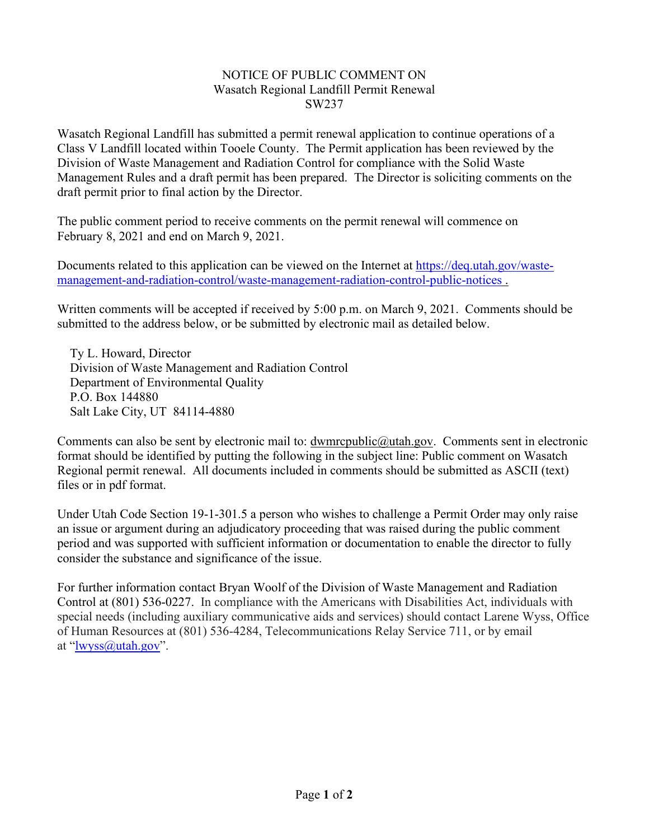## NOTICE OF PUBLIC COMMENT ON Wasatch Regional Landfill Permit Renewal SW237

Wasatch Regional Landfill has submitted a permit renewal application to continue operations of a Class V Landfill located within Tooele County. The Permit application has been reviewed by the Division of Waste Management and Radiation Control for compliance with the Solid Waste Management Rules and a draft permit has been prepared. The Director is soliciting comments on the draft permit prior to final action by the Director.

The public comment period to receive comments on the permit renewal will commence on February 8, 2021 and end on March 9, 2021.

Documents related to this application can be viewed on the Internet at [https://deq.utah.gov/waste](https://deq.utah.gov/waste-management-and-radiation-control/waste-management-radiation-control-public-notices)[management-and-radiation-control/waste-management-radiation-control-public-notices](https://deq.utah.gov/waste-management-and-radiation-control/waste-management-radiation-control-public-notices) .

Written comments will be accepted if received by 5:00 p.m. on March 9, 2021. Comments should be submitted to the address below, or be submitted by electronic mail as detailed below.

Ty L. Howard, Director Division of Waste Management and Radiation Control Department of Environmental Quality P.O. Box 144880 Salt Lake City, UT 84114-4880

Comments can also be sent by electronic mail to: dwmrcpublic@utah.gov. Comments sent in electronic format should be identified by putting the following in the subject line: Public comment on Wasatch Regional permit renewal. All documents included in comments should be submitted as ASCII (text) files or in pdf format.

Under Utah Code Section 19-1-301.5 a person who wishes to challenge a Permit Order may only raise an issue or argument during an adjudicatory proceeding that was raised during the public comment period and was supported with sufficient information or documentation to enable the director to fully consider the substance and significance of the issue.

For further information contact Bryan Woolf of the Division of Waste Management and Radiation Control at (801) 536-0227. In compliance with the Americans with Disabilities Act, individuals with special needs (including auxiliary communicative aids and services) should contact Larene Wyss, Office of Human Resources at (801) 536-4284, Telecommunications Relay Service 711, or by email at ["lwyss@utah.gov"](mailto:lwyss@utah.gov).